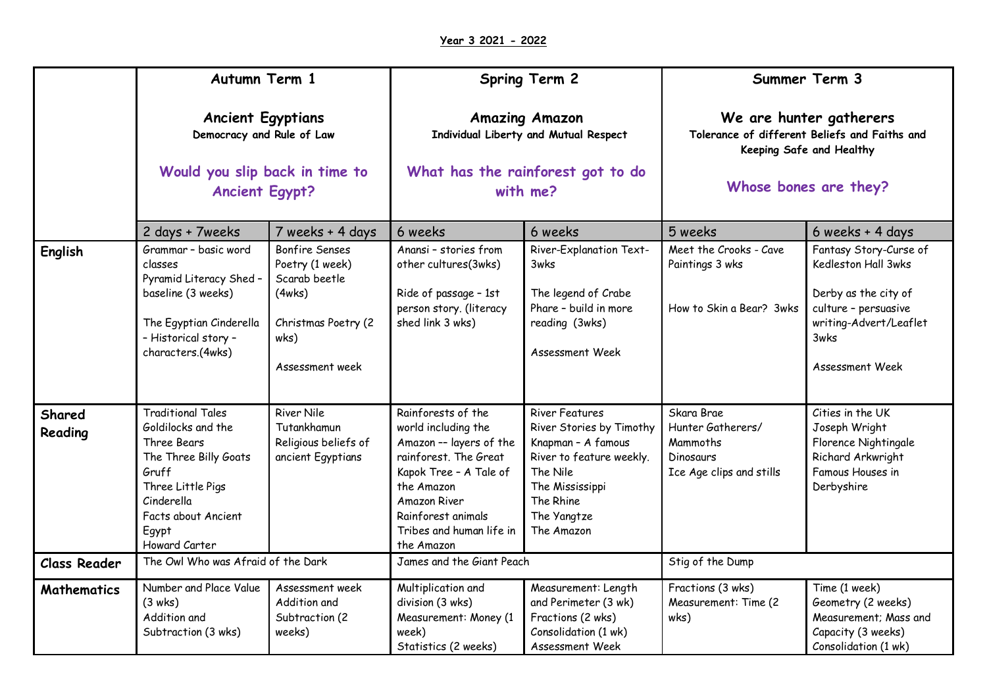|                     | Autumn Term 1<br><b>Ancient Egyptians</b><br>Democracy and Rule of Law<br>Would you slip back in time to<br><b>Ancient Egypt?</b>                                                   |                                                                                                                       | <b>Spring Term 2</b><br><b>Amazing Amazon</b><br>Individual Liberty and Mutual Respect<br>What has the rainforest got to do<br>with me?                                                                                      |                                                                                                                                                                              | Summer Term 3<br>We are hunter gatherers<br>Tolerance of different Beliefs and Faiths and<br>Keeping Safe and Healthy<br>Whose bones are they? |                                                                                                                                                    |
|---------------------|-------------------------------------------------------------------------------------------------------------------------------------------------------------------------------------|-----------------------------------------------------------------------------------------------------------------------|------------------------------------------------------------------------------------------------------------------------------------------------------------------------------------------------------------------------------|------------------------------------------------------------------------------------------------------------------------------------------------------------------------------|------------------------------------------------------------------------------------------------------------------------------------------------|----------------------------------------------------------------------------------------------------------------------------------------------------|
|                     |                                                                                                                                                                                     |                                                                                                                       |                                                                                                                                                                                                                              |                                                                                                                                                                              |                                                                                                                                                |                                                                                                                                                    |
|                     |                                                                                                                                                                                     |                                                                                                                       |                                                                                                                                                                                                                              |                                                                                                                                                                              |                                                                                                                                                |                                                                                                                                                    |
|                     | 2 days + 7weeks                                                                                                                                                                     | 7 weeks + 4 days                                                                                                      | 6 weeks                                                                                                                                                                                                                      | 6 weeks                                                                                                                                                                      | 5 weeks                                                                                                                                        | 6 weeks + 4 days                                                                                                                                   |
| English             | Grammar - basic word<br>classes<br>Pyramid Literacy Shed -<br>baseline (3 weeks)<br>The Egyptian Cinderella<br>- Historical story -<br>characters.(4wks)                            | <b>Bonfire Senses</b><br>Poetry (1 week)<br>Scarab beetle<br>(4wks)<br>Christmas Poetry (2<br>wks)<br>Assessment week | Anansi - stories from<br>other cultures(3wks)<br>Ride of passage - 1st<br>person story. (literacy<br>shed link 3 wks)                                                                                                        | River-Explanation Text-<br>3wks<br>The legend of Crabe<br>Phare - build in more<br>reading (3wks)<br>Assessment Week                                                         | Meet the Crooks - Cave<br>Paintings 3 wks<br>How to Skin a Bear? 3wks                                                                          | Fantasy Story-Curse of<br>Kedleston Hall 3wks<br>Derby as the city of<br>culture - persuasive<br>writing-Advert/Leaflet<br>3wks<br>Assessment Week |
| Shared<br>Reading   | <b>Traditional Tales</b><br>Goldilocks and the<br>Three Bears<br>The Three Billy Goats<br>Gruff<br>Three Little Pigs<br>Cinderella<br>Facts about Ancient<br>Egypt<br>Howard Carter | <b>River Nile</b><br>Tutankhamun<br>Religious beliefs of<br>ancient Egyptians                                         | Rainforests of the<br>world including the<br>Amazon -- layers of the<br>rainforest. The Great<br>Kapok Tree - A Tale of<br>the Amazon<br><b>Amazon River</b><br>Rainforest animals<br>Tribes and human life in<br>the Amazon | <b>River Features</b><br>River Stories by Timothy<br>Knapman - A famous<br>River to feature weekly.<br>The Nile<br>The Mississippi<br>The Rhine<br>The Yangtze<br>The Amazon | Skara Brae<br>Hunter Gatherers/<br>Mammoths<br>Dinosaurs<br>Ice Age clips and stills                                                           | Cities in the UK<br>Joseph Wright<br>Florence Nightingale<br>Richard Arkwright<br>Famous Houses in<br>Derbyshire                                   |
| <b>Class Reader</b> | The Owl Who was Afraid of the Dark                                                                                                                                                  |                                                                                                                       | James and the Giant Peach                                                                                                                                                                                                    |                                                                                                                                                                              | Stig of the Dump                                                                                                                               |                                                                                                                                                    |
| <b>Mathematics</b>  | Number and Place Value<br>(3 wks)<br>Addition and<br>Subtraction (3 wks)                                                                                                            | Assessment week<br>Addition and<br>Subtraction (2<br>weeks)                                                           | Multiplication and<br>division (3 wks)<br>Measurement: Money (1<br>week)<br>Statistics (2 weeks)                                                                                                                             | Measurement: Length<br>and Perimeter (3 wk)<br>Fractions (2 wks)<br>Consolidation (1 wk)<br>Assessment Week                                                                  | Fractions (3 wks)<br>Measurement: Time (2<br>wks)                                                                                              | Time (1 week)<br>Geometry (2 weeks)<br>Measurement; Mass and<br>Capacity (3 weeks)<br>Consolidation (1 wk)                                         |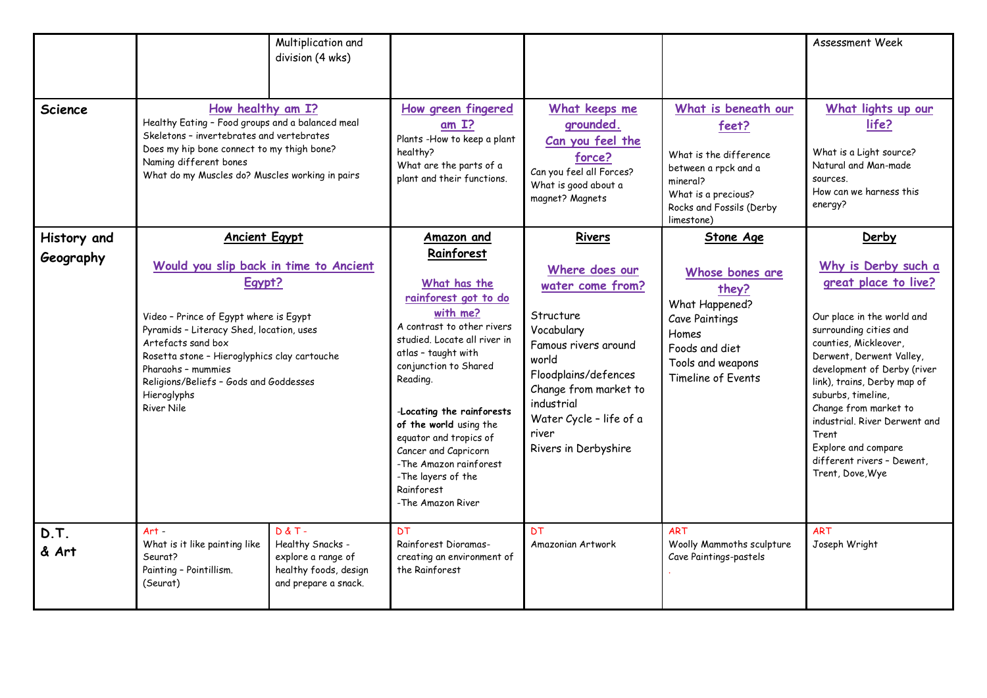|                          |                                                                                                                                                                                                                                                                                                                                   | Multiplication and<br>division (4 wks)                                                               |                                                                                                                                                                                                                                                                                                                                                                                                    |                                                                                                                                                                                                                                     |                                                                                                                                                             | Assessment Week                                                                                                                                                                                                                                                                                                                                                                                   |
|--------------------------|-----------------------------------------------------------------------------------------------------------------------------------------------------------------------------------------------------------------------------------------------------------------------------------------------------------------------------------|------------------------------------------------------------------------------------------------------|----------------------------------------------------------------------------------------------------------------------------------------------------------------------------------------------------------------------------------------------------------------------------------------------------------------------------------------------------------------------------------------------------|-------------------------------------------------------------------------------------------------------------------------------------------------------------------------------------------------------------------------------------|-------------------------------------------------------------------------------------------------------------------------------------------------------------|---------------------------------------------------------------------------------------------------------------------------------------------------------------------------------------------------------------------------------------------------------------------------------------------------------------------------------------------------------------------------------------------------|
| <b>Science</b>           | How healthy am I?<br>Healthy Eating - Food groups and a balanced meal<br>Skeletons - invertebrates and vertebrates<br>Does my hip bone connect to my thigh bone?<br>Naming different bones<br>What do my Muscles do? Muscles working in pairs                                                                                     |                                                                                                      | How green fingered<br>am <sub>1</sub><br>Plants -How to keep a plant<br>healthy?<br>What are the parts of a<br>plant and their functions.                                                                                                                                                                                                                                                          | What keeps me<br>grounded.<br>Can you feel the<br>force?<br>Can you feel all Forces?<br>What is good about a<br>magnet? Magnets                                                                                                     | What is beneath our<br>feet?<br>What is the difference<br>between a rpck and a<br>mineral?<br>What is a precious?<br>Rocks and Fossils (Derby<br>limestone) | What lights up our<br>life?<br>What is a Light source?<br>Natural and Man-made<br>sources.<br>How can we harness this<br>energy?                                                                                                                                                                                                                                                                  |
| History and<br>Geography | <b>Ancient Egypt</b><br>Would you slip back in time to Ancient<br>Egypt?<br>Video - Prince of Egypt where is Egypt<br>Pyramids - Literacy Shed, location, uses<br>Artefacts sand box<br>Rosetta stone - Hieroglyphics clay cartouche<br>Pharaohs - mummies<br>Religions/Beliefs - Gods and Goddesses<br>Hieroglyphs<br>River Nile |                                                                                                      | Amazon and<br>Rainforest<br>What has the<br>rainforest got to do<br>with me?<br>A contrast to other rivers<br>studied. Locate all river in<br>atlas - taught with<br>conjunction to Shared<br>Reading.<br>-Locating the rainforests<br>of the world using the<br>equator and tropics of<br>Cancer and Capricorn<br>-The Amazon rainforest<br>-The layers of the<br>Rainforest<br>-The Amazon River | Rivers<br>Where does our<br>water come from?<br>Structure<br>Vocabulary<br>Famous rivers around<br>world<br>Floodplains/defences<br>Change from market to<br>industrial<br>Water Cycle - life of a<br>river<br>Rivers in Derbyshire | <b>Stone Age</b><br>Whose bones are<br>they?<br>What Happened?<br>Cave Paintings<br>Homes<br>Foods and diet<br>Tools and weapons<br>Timeline of Events      | Derby<br>Why is Derby such a<br>great place to live?<br>Our place in the world and<br>surrounding cities and<br>counties, Mickleover,<br>Derwent, Derwent Valley,<br>development of Derby (river<br>link), trains, Derby map of<br>suburbs, timeline,<br>Change from market to<br>industrial, River Derwent and<br>Trent<br>Explore and compare<br>different rivers - Dewent,<br>Trent, Dove, Wye |
| D.T.<br>& Art            | $Art -$<br>What is it like painting like<br>Seurat?<br>Painting - Pointillism.<br>(Seurat)                                                                                                                                                                                                                                        | $D & T -$<br>Healthy Snacks -<br>explore a range of<br>healthy foods, design<br>and prepare a snack. | <b>DT</b><br>Rainforest Dioramas-<br>creating an environment of<br>the Rainforest                                                                                                                                                                                                                                                                                                                  | <b>DT</b><br>Amazonian Artwork                                                                                                                                                                                                      | <b>ART</b><br>Woolly Mammoths sculpture<br>Cave Paintings-pastels                                                                                           | <b>ART</b><br>Joseph Wright                                                                                                                                                                                                                                                                                                                                                                       |